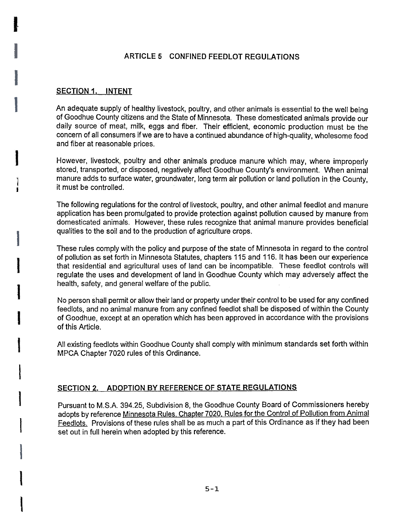### ARTICLE 5 CONFINED FEEDLOT REGULATIONS

#### SECTION 1. INTENT

An adequate supply of healthy livestock, poultry, and other animals is essential to the well being of Goodhue County citizens and the State of Minnesota. These domesticated animals provide our daily source of meat, milk, eggs and fiber. Their efficient, economic production must be the concern of all consumers if we are to have a continued abundance of high-quality, wholesome food and fiber at reasonable prices.

However, livestock, poultry and other animals produce manure which may, where improperly stored, transported, or disposed, negatively affect Goodhue County's environment. When animal manure adds to surface water, groundwater, long term air pollution or land pollution in the County, it must be controlled.

The following regulations for the control of livestock, poultry, and other animal feedlot and manure application has been promulgated to provide protection against pollution caused by manure from domesticated animals. However, these rules recognize that animal manure provides beneficial qualities to the soil and to the production of agriculture crops.

These rules comply with the policy and purpose of the state of Minnesota in regard to the control of pollution as set forth in Minnesota Statutes, chapters 115 and 116. It has been our experience that residential and agricultural uses of land can be incompatible. These feedlot controls will regulate the uses and development of land in Goodhue County which may adversely affect the health, safety, and general welfare of the public.

No person shall permit or allow their land or property under their control to be used for any confined feedlots, and no animal manure from any confined feedlot shall be disposed of within the County of Goodhue, except at an operation which has been approved in accordance with the provisions of this Article.

All existing feedlots within Goodhue County shall comply with minimum standards set forth within MPCA Chapter 7020 rules of this Ordinance.

#### SECTION 2. ADOPTION BY REFERENCE OF STATE REGULATIONS

Pursuant to M.S.A. 394.25, Subdivision 8, the Goodhue County Board of Commissioners hereby adopts by reference Minnesota Rules. Chapter 7020. Rules for the Control of Pollution from Animal Feedlots. Provisions of these rules shall be as much a part of this Ordinance as if they had been set out in full herein when adopted by this reference.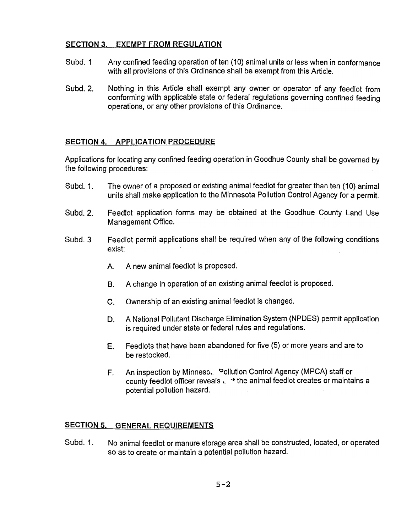#### SECTION 3. EXEMPT FROM REGULATION

- Subd. 1 Any confined feeding operation of ten (10) animal units or less when in conformance with all provisions of this Ordinance shall be exempt from this Article.
- Subd. 2. Nothing in this Article shall exempt any owner or operator of any feedlot from conforming with applicable state or federal regulations governing confined feeding operations, or any other provisions of this Ordinance.

### SECTION 4. APPLICATION PROCEDURE

Applications for locating any confined feeding operation in Goodhue County shall be governed by the following procedures:

- Subd. 1. The owner of a proposed or existing animal feedlot for greater than ten (10) animal units shall make application to the Minnesota Pollution Control Agency for a permit.
- Subd. 2. Feedlot application forms may be obtained at the Goodhue County land Use Management Office.
- Subd. 3. Feedlot permit applications shall be required when any of the following conditions exist:
	- A. A new animal feedlot is proposed.
	- B. A change in operation of an existing animal feedlot is proposed.
	- c. Ownership of an existing animal feedlot is changed.
	- A National Pollutant Discharge Elimination System (NPDES) permit application is required under state or federal rules and regulations. D.
	- Feedlots that have been abandoned for five (5) or more years and are to be restocked. E.
	- An inspection by Minneso. Pollution Control Agency (MPCA) staff or  $F_{\perp}$ county feedlot officer reveals  $\mu$ ,  $\lambda$  the animal feedlot creates or maintains a potential pollution hazard.

### SECTION 5. GENERAL REQUIREMENTS

Subd. 1. No animal feedlot or manure storage area shall be constructed, located, or operated so as to create or maintain a potential pollution hazard.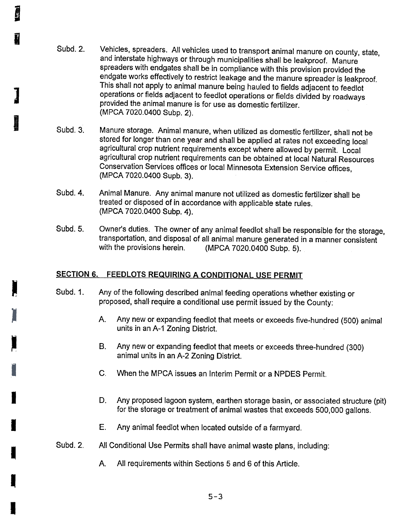- Subd. 2. Vehicles, spreaders. All vehicles used to transport animal manure on county, state, and interstate highways or through municipalities shall be leakproof. Manure spreaders with endgates shall be in compliance with this provision provided the endgate works effectively to restrict leakage and the manure spreader is leakproof. This shall not apply to animal manure being hauled to fields adjacent to feedlot operations or fields adjacent to feedlot operations or fields divided by roadways provided the animal manure is for use as domestic fertilizer. (MPCA 7020.0400 Subp. 2).
- Subd. 3. Manure storage. Animal manure, when utilized as domestic fertilizer, shall not be stored for longer than one year and shall be applied at rates not exceeding local agricultural crop nutrient requirements except where allowed by permit. Local agricultural crop nutrient requirements can be obtained at local Natural Resources Conservation Services offices or local Minnesota Extension Service offices, (MPCA 7020.0400 Supb. 3).
- Subd. 4. Animal Manure. Any animal manure not utilized as domestic fertilizer shall be treated or disposed of in accordance with applicable state rules. (MPCA 7020.0400 Subp. 4).
- Subd. 5. Owner's duties. The owner of any animal feedlot shall be responsible for the storage, transportation, and disposal of all animal manure generated in a manner consistent with the provisions herein. (MPCA 7020.0400 Subp. 5).

## SECTION 6. FEEDLOTS REQUIRING A CONDITIONAL USE PERMIT

**DESERVE** 

**I** 

I

I

- Subd. 1. Any of the following described animal feeding operations whether existing or proposed, shall. require a conditional use permit issued by the County:
	- A. Any new or expanding feedlot that meets or exceeds five-hundred (500) animal units in an A-1 Zoning District.
	- $B<sub>r</sub>$ Any new or expanding feedlot that meets or exceeds three-hundred (300) animal units in an A-2 Zoning District.
	- c. When the MPCA issues an Interim Permit or a NPDES Permit.
	- D. Any proposed lagoon system, earthen storage basin, or associated structure (pit) for the storage or treatment of animal wastes that exceeds 500,000 gallons.
	- E. Any animal feedlot when located outside of a farmyard.
- Subd. 2. All Conditional Use Permits shall have animal waste plans, including:
	- A. All requirements within Sections 5 and 6 of this Article.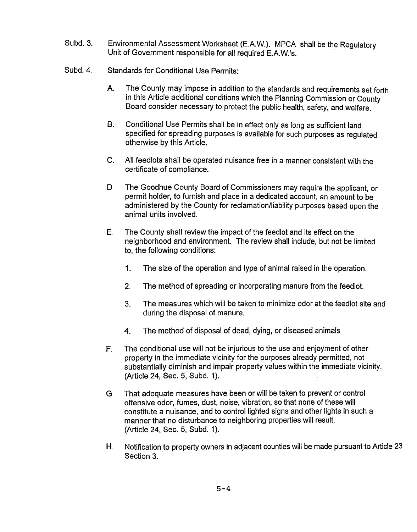- Subd. 3. Environmental Assessment Worksheet (E.A.W.). MPCA shall be the Regulatory<br>Unit of Government responsible for all required E.A.W.'s.
- Subd. 4. Standards for Conditional Use Permits:
	- A. The County may impose in addition to the standards and requirements set forth in this Article additional conditions which the Planning Commission or County Board consider necessary to protect the public health, safety, and welfare.
	- B. Conditional Use Permits shall be in effect only as long as sufficient land specified for spreading purposes is available for such purposes as regulated otherwise by this Article.
	- $C_{1}$ All feedlots shall be operated nuisance free in a manner consistent with the certificate of compliance.
	- D. The Goodhue County Board of Commissioners may require the applicant, or permit holder, to furnish and place in a dedicated account, an amount to be administered by the County for reclamation/liability purposes based upon the animal units involved.
	- neighborhood and environment. The review shall include, but not be limited to, the following conditions:
		- 1. The size of the operation and type of animal raised in the operation
		-
		- 3. The measures which will be taken to minimize odor at the feedlot site and during the disposal of manure.
		- 4. The method of disposal of dead, dying, or diseased animals.
	- F. The conditional use will not be injurious to the use and enjoyment of other property in the immediate vicinity for the purposes already permitted, not substantially diminish and impair property values within the immediate vicinity. (Article 24, Sec. 5, Subd. 1).
- E. The County shall rewiew the impact of the feedlot and its effect on the feedlot and the effect on the to, the following conditions:<br>
1. The size of the operation and type of animal raised in the opera<br>
2. The method of 2. The method of spreading or incorporating manure from the feedlot<br>
3. The measures which will be taken to minimize odor at the feedlot<br>
during the disposal of manure.<br>
4. The contidional use will not be injurious to the G. That adequate measures have been or will be taken to prevent or control offensive odor, fumes, dust, noise, vibration, so that none of these will constitute a nuisance, and to control lighted signs and other lights in such a manner that no disturbance to neighboring properties will result. (Article 24, Sec. 5, Subd. 1).
	- H, Notification to property owners in adjacent counties will be made pursuant to Article 23 Section 3.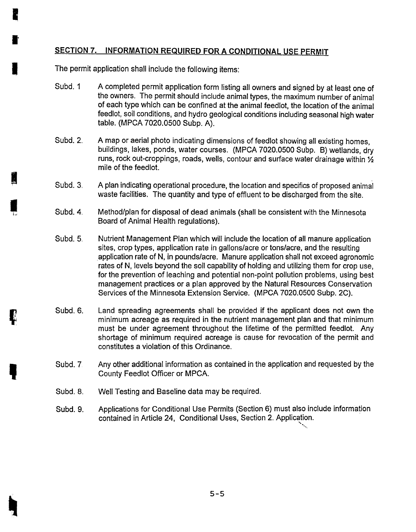# SECTION 7. INFORMATION REQUIRED FOR A CONDITIONAL USE PERMIT

The permit application shall include the following items:

I

I

**I** 

,

- Subd. 1 A completed permit application form listing all owners and signed by at least one of the owners. The permit should include animal types, the maximum number of animal of each type which can be confined at the animal feedlot, the location of the animal feedlot, soil conditions, and hydro geological conditions including seasonal high water table. (MPCA 7020.0500 Subp. A).
- Subd. 2. A map or aerial photo indicating dimensions of feedlot showing all existing homes, buildings, lakes, ponds, water courses. (MPCA 7020.0500 Subp. B) wetlands, dry runs, rock out-croppings, roads, wells, contour and surface water drainage within  $\frac{1}{2}$ mile of the feedlot.
- Subd. 3. A plan indicating operational procedure, the location and specifics of proposed animal waste facilities. The quantity and type of effluent to be discharged from the site.
- Subd. 4. Method/plan for disposal of dead animals (shall be consistent with the Minnesota Board of Animal Health regulations).
- Subd. 5. Nutrient Management Plan which will include the location of all manure application sites, crop types, application rate in gallons/acre or tons/acre, and the resulting application rate of N, in pounds/acre. Manure application shall not exceed agronomic rates of N, levels beyond the soil capability of holding and utilizing them for crop use, for the prevention of leaching and potential non-point pollution problems, using best management practices or a plan approved by the Natural Resources Conservation Services of the Minnesota Extension Service. (MPCA 7020.0500 Subp. 2C).
- Subd. 6. Land spreading agreements shall be provided if the applicant does not own the minimum acreage as required in the nutrient management plan and that minimum must be under agreement throughout the lifetime of the permitted feedlot. Any shortage of minimum required acreage is cause for revocation of the permit and constitutes a violation of this Ordinance.
- Subd. 7 Any other additional information as contained in the application and requested by the County Feedlot Officer or MPCA.
- Subd. 8. Well Testing and Baseline data may be required.
- Applications for Conditional Use Permits (Section 6) must also include information contained in Article 24, Conditional Uses, Section 2. Application. "".. Subd. 9.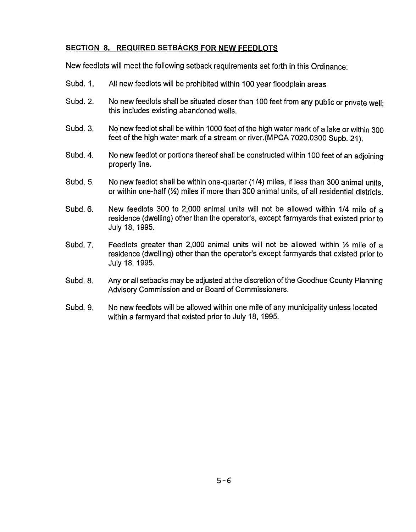# SECTION 8. REQUIRED SETBACKS FOR NEW FEEDLOTS

New feedlots will meet the following setback requirements set forth in this Ordinance:

- Subd. 1. All new feedlots will be prohibited within 100 year floodplain areas.
- Subd. 2. No new feedlots shall be situated closer than 100 feet from any public or private well: this includes existing abandoned wells.
- Subd. 3. No new feedlot shall be within 1000 feet of the high water mark of a lake or within 300 feet of the high water mark of a stream or river.(MPCA 7020.0300 Supb. 21).
- Subd. 4. No new feedlot or portions thereof shall be constructed within 100 feet of an adjoining property line.
- Subd. 5. No new feedlot shall be within one-quarter (1/4) miles, if less than 300 animal units. or within one-half (Y2) miles if more than 300 animal units, of all residential districts.
- Subd. 6. New feedlots 300 to 2,000 animal units will not be allowed within 1/4 mile of a residence (dwelling) other than the operator's, except farmyards that existed prior to July 18,1995.
- Subd. 7. Feedlots greater than 2,000 animal units will not be allowed within  $\frac{1}{2}$  mile of a residence (dwelling) other than the operator's except farmyards that existed prior to July 18, 1995.
- Subd. 8. Any or all setbacks may be adjusted at the discretion of the Goodhue County Planning Advisory Commission and or Board of Commissioners.
- Subd. 9. No new feedlots will be allowed within one mile of any municipality unless located within a farmyard that existed prior to July 18, 1995.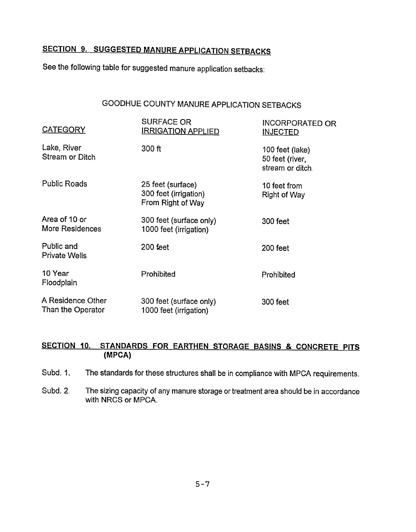# SECTION 9. SUGGESTED MANURE APPLICATION SETBACKS

See the following table for suggested manure application setbacks:

# GOODHUE COUNTY MANURE APPLICATION SETBACKS

| <b>CATEGORY</b>                        | <b>SURFACE OR</b><br><b>IRRIGATION APPLIED</b>                  | <b>INCORPORATED OR</b><br><b>INJECTED</b>              |
|----------------------------------------|-----------------------------------------------------------------|--------------------------------------------------------|
| Lake, River<br>Stream or Ditch         | 300 ft                                                          | 100 feet (lake)<br>50 feet (river,<br>stream or ditch. |
| <b>Public Roads</b>                    | 25 feet (surface)<br>300 feet (irrigation)<br>From Right of Way | 10 feet from<br><b>Right of Way</b>                    |
| Area of 10 or<br>More Residences       | 300 feet (surface only)<br>1000 feet (irrigation)               | 300 feet                                               |
| Public and<br><b>Private Wells</b>     | 200 feet                                                        | 200 feet                                               |
| 10 Year<br>Floodplain                  | Prohibited                                                      | Prohibited                                             |
| A Residence Other<br>Than the Operator | 300 feet (surface only)<br>1000 feet (irrigation)               | 300 feet                                               |

# SECTION 10. STANDARDS FOR EARTHEN STORAGE BASINS & CONCRETE PITS (MPCA)

Subd. 1. The standards for these structures shall be in compliance with MPCA requirements.

Subd. 2. The sizing capacity of any manure storage or treatment area should be in accordance with NRCS or MPCA.